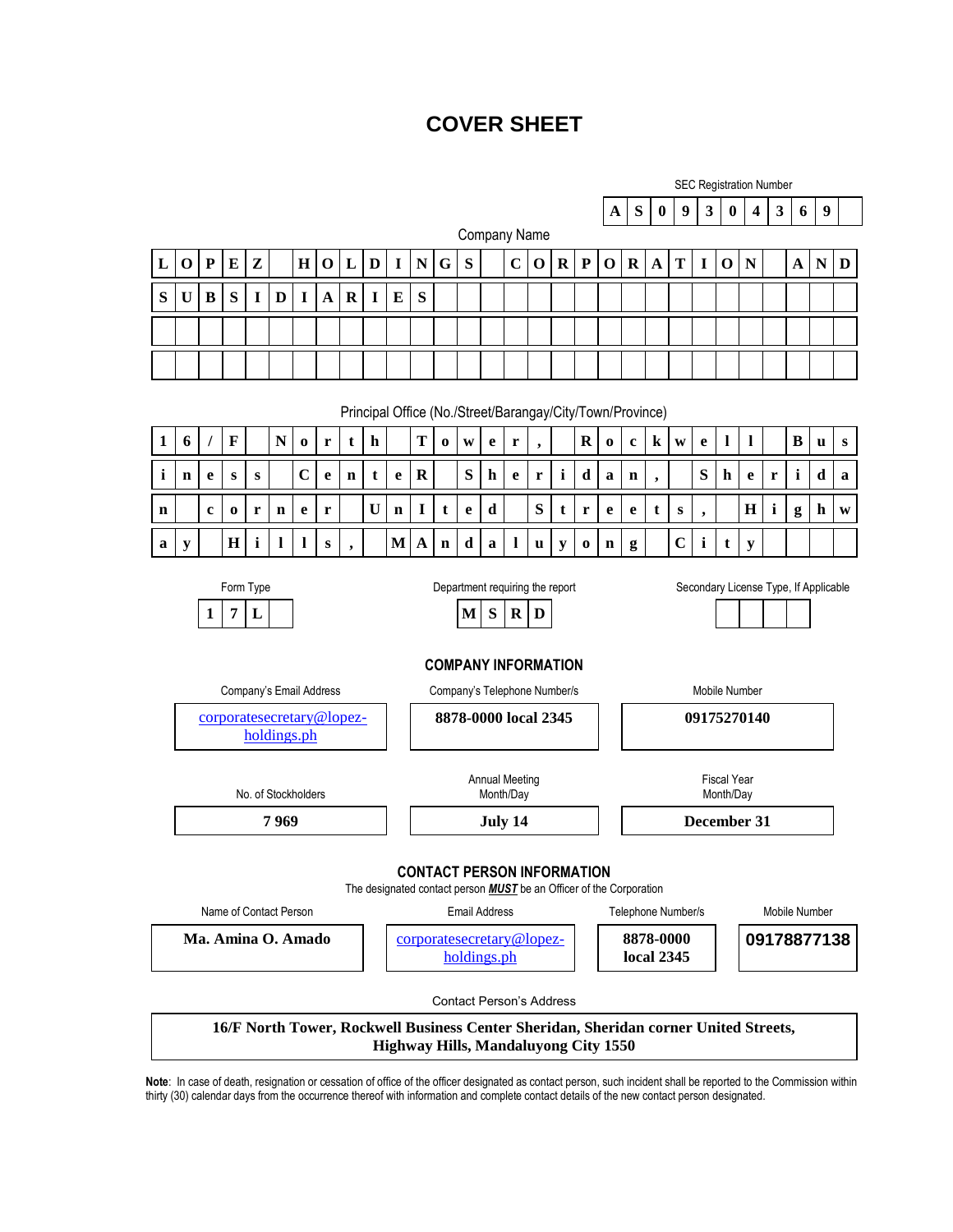# **COVER SHEET**

|              |                                                                                                                                                   |           |             |             |             |             |             |                                                           |           |             |           |                                                                                                                                                    |                                 |             |             | <b>SEC Registration Number</b> |             |              |                                      |                         |                                                                 |             |                          |              |                                                                                      |   |             |                              |   |  |
|--------------|---------------------------------------------------------------------------------------------------------------------------------------------------|-----------|-------------|-------------|-------------|-------------|-------------|-----------------------------------------------------------|-----------|-------------|-----------|----------------------------------------------------------------------------------------------------------------------------------------------------|---------------------------------|-------------|-------------|--------------------------------|-------------|--------------|--------------------------------------|-------------------------|-----------------------------------------------------------------|-------------|--------------------------|--------------|--------------------------------------------------------------------------------------|---|-------------|------------------------------|---|--|
|              |                                                                                                                                                   |           |             |             |             |             |             |                                                           |           |             |           |                                                                                                                                                    |                                 | A           | S           | $\boldsymbol{0}$               | 9           | $\mathbf{3}$ | $\bf{0}$                             | $\overline{\mathbf{4}}$ | $\mathbf{3}$                                                    | 6           | 9                        |              |                                                                                      |   |             |                              |   |  |
| Company Name |                                                                                                                                                   |           |             |             |             |             |             |                                                           |           |             |           |                                                                                                                                                    |                                 |             |             |                                |             |              |                                      |                         |                                                                 |             |                          |              |                                                                                      |   |             |                              |   |  |
| L            | $\mathbf O$                                                                                                                                       | ${\bf P}$ | Е           | ${\bf z}$   |             | $\mathbf H$ | $\mathbf 0$ | L                                                         | D         | I           | ${\bf N}$ | G                                                                                                                                                  | S                               |             | $\mathbf C$ | $\mathbf 0$                    | $\mathbf R$ | ${\bf P}$    | $\mathbf 0$                          | $\mathbf R$             | $\mathbf{A}$                                                    | T           | $\bf{I}$                 | $\mathbf 0$  | $\mathbf N$                                                                          |   | $\mathbf A$ | $\mathbf N$                  | D |  |
| S            | $\mathbf U$                                                                                                                                       | B         | S           | I           | D           | I           | $\mathbf A$ | $\mathbf R$                                               | I         | E           | S         |                                                                                                                                                    |                                 |             |             |                                |             |              |                                      |                         |                                                                 |             |                          |              |                                                                                      |   |             |                              |   |  |
|              |                                                                                                                                                   |           |             |             |             |             |             |                                                           |           |             |           |                                                                                                                                                    |                                 |             |             |                                |             |              |                                      |                         |                                                                 |             |                          |              |                                                                                      |   |             |                              |   |  |
|              |                                                                                                                                                   |           |             |             |             |             |             |                                                           |           |             |           |                                                                                                                                                    |                                 |             |             |                                |             |              |                                      |                         |                                                                 |             |                          |              |                                                                                      |   |             |                              |   |  |
|              |                                                                                                                                                   |           |             |             |             |             |             |                                                           |           |             |           |                                                                                                                                                    |                                 |             |             |                                |             |              |                                      |                         |                                                                 |             |                          |              |                                                                                      |   |             |                              |   |  |
|              |                                                                                                                                                   |           |             |             |             |             |             | Principal Office (No./Street/Barangay/City/Town/Province) |           |             |           |                                                                                                                                                    |                                 |             |             |                                |             |              |                                      |                         |                                                                 |             |                          |              |                                                                                      |   |             |                              |   |  |
| $\mathbf{1}$ | 6                                                                                                                                                 |           | $\mathbf F$ |             | N           | $\bf{o}$    | r           | t                                                         | ${\bf h}$ |             | ${\bf T}$ | $\mathbf 0$                                                                                                                                        | W                               | $\mathbf e$ | r           |                                |             | $\mathbf R$  | $\bf{o}$                             | $\mathbf c$             | $\bf k$                                                         | W           | e                        | $\mathbf{l}$ | $\mathbf{l}$                                                                         |   | $\bf{B}$    | u                            | S |  |
| i            | $\mathbf n$                                                                                                                                       | e         | ${\bf s}$   | ${\bf S}$   |             | $\mathbf C$ | e           | $\mathbf n$                                               | t         | e           | $\bf R$   |                                                                                                                                                    | S                               | h           | e           | r                              | i           | d            | a                                    | $\mathbf n$             | $\bullet$                                                       |             | S                        | h            | e                                                                                    | r | i           | d                            | a |  |
| n            |                                                                                                                                                   | c         | $\bf{0}$    | r           | $\mathbf n$ | e           | r           |                                                           | U         | $\mathbf n$ | $\bf{I}$  | t                                                                                                                                                  | e                               | d           |             | ${\bf S}$                      | t           | r            | e                                    | e                       | t                                                               | S           | $\overline{\phantom{a}}$ |              | H                                                                                    | i | g           | h                            | W |  |
| a            | ${\bf y}$                                                                                                                                         |           | $\bf H$     | $\mathbf i$ | 1           | 1           | S           |                                                           |           | M           | A         | $\mathbf n$                                                                                                                                        | d                               | a           | 1           | u                              | y           | $\bf{0}$     | n                                    | g                       |                                                                 | $\mathbf C$ | $\mathbf i$              | t            | ${\bf y}$                                                                            |   |             |                              |   |  |
|              | 7<br>L<br>1<br>Company's Email Address<br>corporatesecretary@lopez-<br>holdings.ph<br>No. of Stockholders                                         |           |             |             |             |             |             |                                                           |           |             |           | M<br>S<br>$\bf R$<br>D<br><b>COMPANY INFORMATION</b><br>Company's Telephone Number/s<br>8878-0000 local 2345<br><b>Annual Meeting</b><br>Month/Day |                                 |             |             |                                |             |              |                                      |                         | Mobile Number<br>09175270140<br><b>Fiscal Year</b><br>Month/Day |             |                          |              |                                                                                      |   |             |                              |   |  |
|              | December 31<br>7969<br>July 14<br><b>CONTACT PERSON INFORMATION</b><br>The designated contact person <b>MUST</b> be an Officer of the Corporation |           |             |             |             |             |             |                                                           |           |             |           |                                                                                                                                                    |                                 |             |             |                                |             |              |                                      |                         |                                                                 |             |                          |              |                                                                                      |   |             |                              |   |  |
|              | Name of Contact Person<br>Ma. Amina O. Amado                                                                                                      |           |             |             |             |             |             |                                                           |           |             |           | <b>Email Address</b><br>corporatesecretary@lopez-<br>holdings.ph                                                                                   |                                 |             |             |                                |             |              |                                      |                         | Telephone Number/s<br>8878-0000<br>local 2345                   |             |                          |              |                                                                                      |   |             | Mobile Number<br>09178877138 |   |  |
|              |                                                                                                                                                   |           |             |             |             |             |             |                                                           |           |             |           |                                                                                                                                                    | <b>Contact Person's Address</b> |             |             |                                |             |              |                                      |                         |                                                                 |             |                          |              | 16/F North Tower, Rockwell Business Center Sheridan, Sheridan corner United Streets, |   |             |                              |   |  |
|              |                                                                                                                                                   |           |             |             |             |             |             |                                                           |           |             |           |                                                                                                                                                    |                                 |             |             |                                |             |              | Highway Hills, Mandaluyong City 1550 |                         |                                                                 |             |                          |              |                                                                                      |   |             |                              |   |  |

**Note**: In case of death, resignation or cessation of office of the officer designated as contact person, such incident shall be reported to the Commission within thirty (30) calendar days from the occurrence thereof with information and complete contact details of the new contact person designated.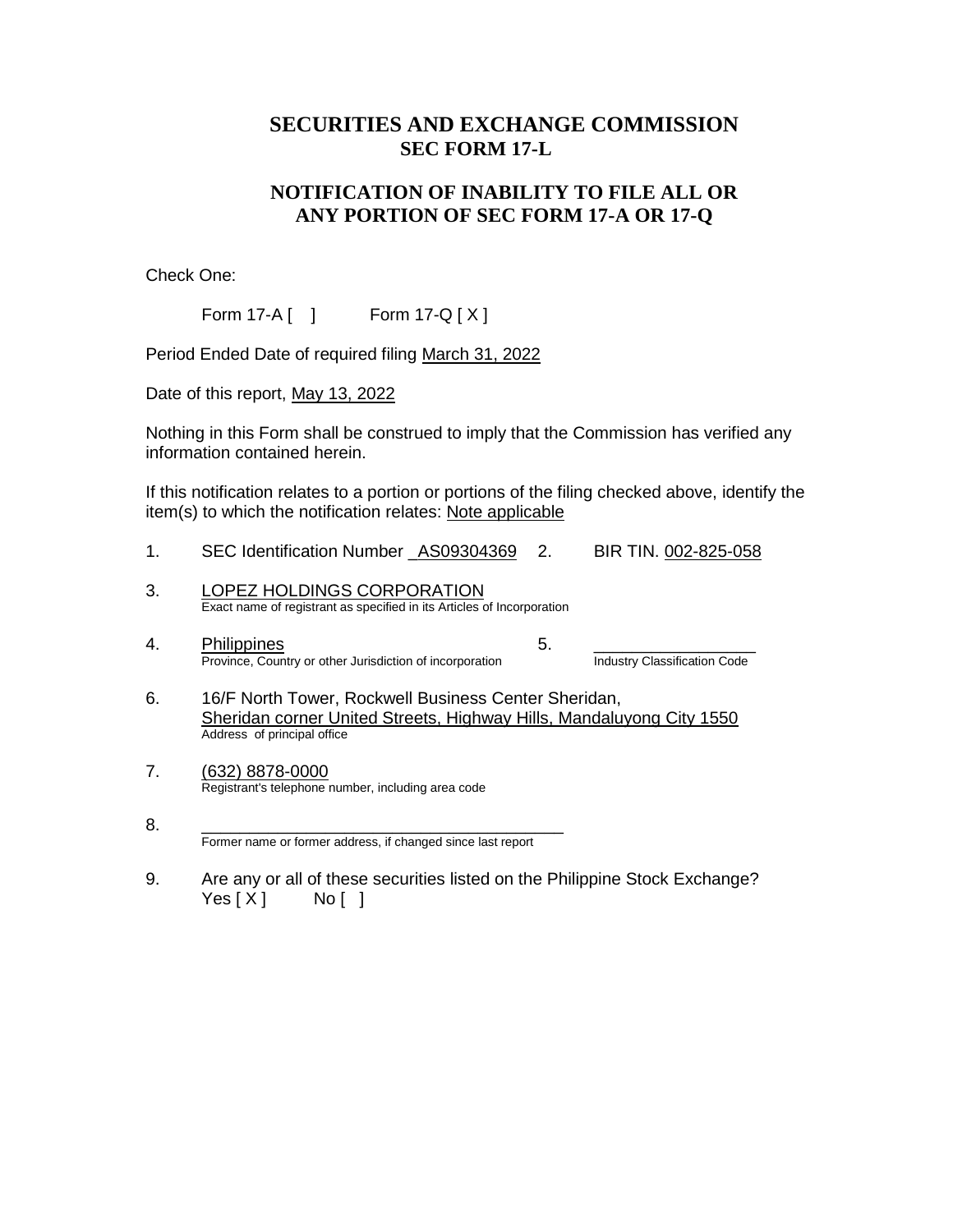## **SECURITIES AND EXCHANGE COMMISSION SEC FORM 17-L**

### **NOTIFICATION OF INABILITY TO FILE ALL OR ANY PORTION OF SEC FORM 17-A OR 17-Q**

Check One:

Form 17-A [ ] Form 17-Q [ X ]

Period Ended Date of required filing March 31, 2022

Date of this report, May 13, 2022

Nothing in this Form shall be construed to imply that the Commission has verified any information contained herein.

If this notification relates to a portion or portions of the filing checked above, identify the item(s) to which the notification relates: Note applicable

- 1. SEC Identification Number \_AS09304369 2. BIR TIN. 002-825-058
- 3. LOPEZ HOLDINGS CORPORATION Exact name of registrant as specified in its Articles of Incorporation
- 4. Philippines<br>Province, Country or other Jurisdiction of incorporation<br>Industry Classification Code Province, Country or other Jurisdiction of incorporation

- 6. 16/F North Tower, Rockwell Business Center Sheridan, Sheridan corner United Streets, Highway Hills, Mandaluyong City 1550 Address of principal office
- 7. (632) 8878-0000 Registrant's telephone number, including area code

9. Are any or all of these securities listed on the Philippine Stock Exchange?  $Yes [ X ]$  No [ ]

<sup>8.</sup> \_\_\_\_\_\_\_\_\_\_\_\_\_\_\_\_\_\_\_\_\_\_\_\_\_\_\_\_\_\_\_\_\_\_\_\_\_\_ Former name or former address, if changed since last report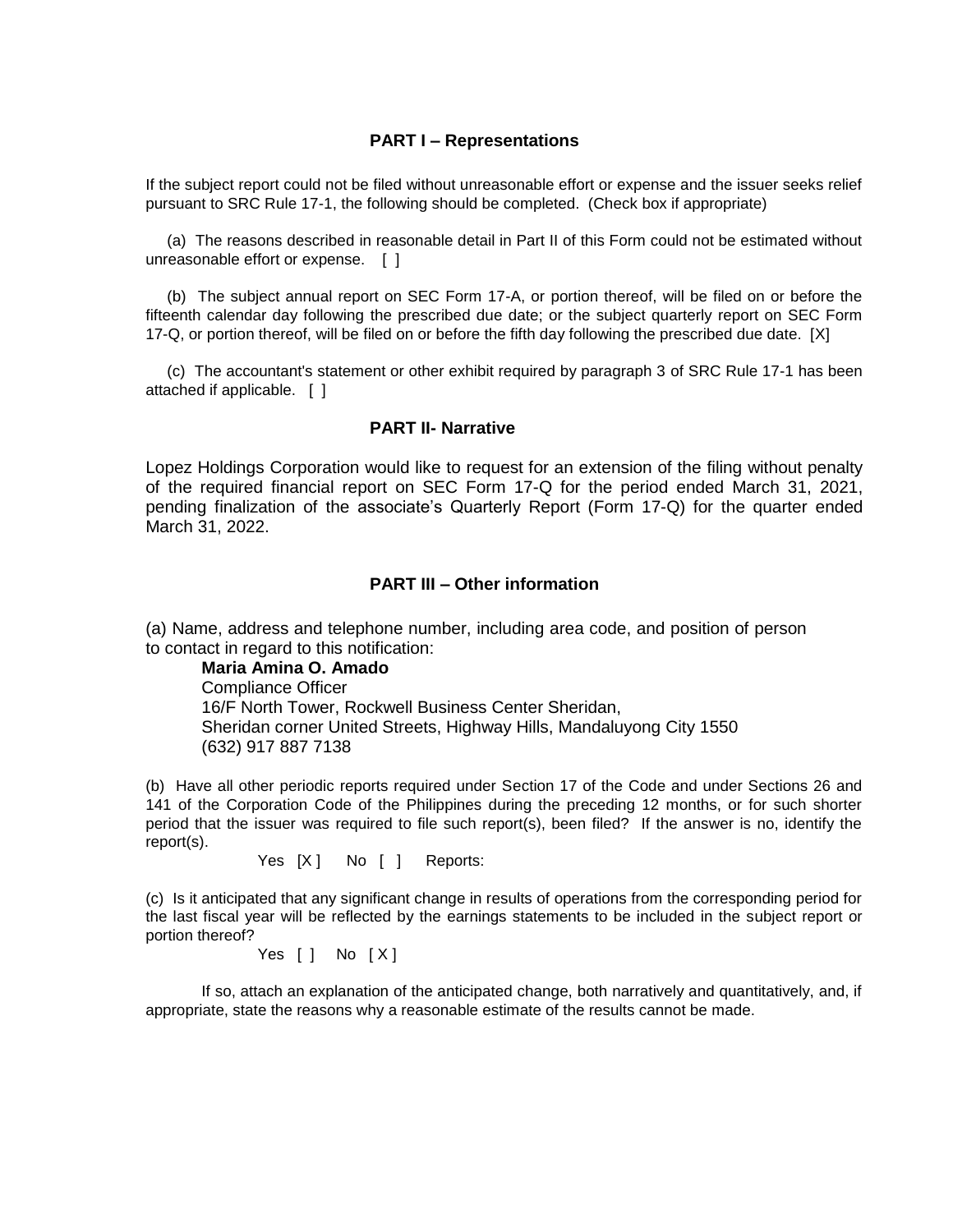#### **PART I – Representations**

If the subject report could not be filed without unreasonable effort or expense and the issuer seeks relief pursuant to SRC Rule 17-1, the following should be completed. (Check box if appropriate)

 (a) The reasons described in reasonable detail in Part II of this Form could not be estimated without unreasonable effort or expense. [ ]

 (b) The subject annual report on SEC Form 17-A, or portion thereof, will be filed on or before the fifteenth calendar day following the prescribed due date; or the subject quarterly report on SEC Form 17-Q, or portion thereof, will be filed on or before the fifth day following the prescribed due date. [X]

 (c) The accountant's statement or other exhibit required by paragraph 3 of SRC Rule 17-1 has been attached if applicable. [ ]

#### **PART II- Narrative**

Lopez Holdings Corporation would like to request for an extension of the filing without penalty of the required financial report on SEC Form 17-Q for the period ended March 31, 2021, pending finalization of the associate's Quarterly Report (Form 17-Q) for the quarter ended March 31, 2022.

#### **PART III – Other information**

(a) Name, address and telephone number, including area code, and position of person to contact in regard to this notification:

**Maria Amina O. Amado** Compliance Officer 16/F North Tower, Rockwell Business Center Sheridan, Sheridan corner United Streets, Highway Hills, Mandaluyong City 1550 (632) 917 887 7138

(b) Have all other periodic reports required under Section 17 of the Code and under Sections 26 and 141 of the Corporation Code of the Philippines during the preceding 12 months, or for such shorter period that the issuer was required to file such report(s), been filed? If the answer is no, identify the report(s).

Yes [X ] No [ ] Reports:

(c) Is it anticipated that any significant change in results of operations from the corresponding period for the last fiscal year will be reflected by the earnings statements to be included in the subject report or portion thereof?

Yes  $[ ]$  No  $[X]$ 

If so, attach an explanation of the anticipated change, both narratively and quantitatively, and, if appropriate, state the reasons why a reasonable estimate of the results cannot be made.